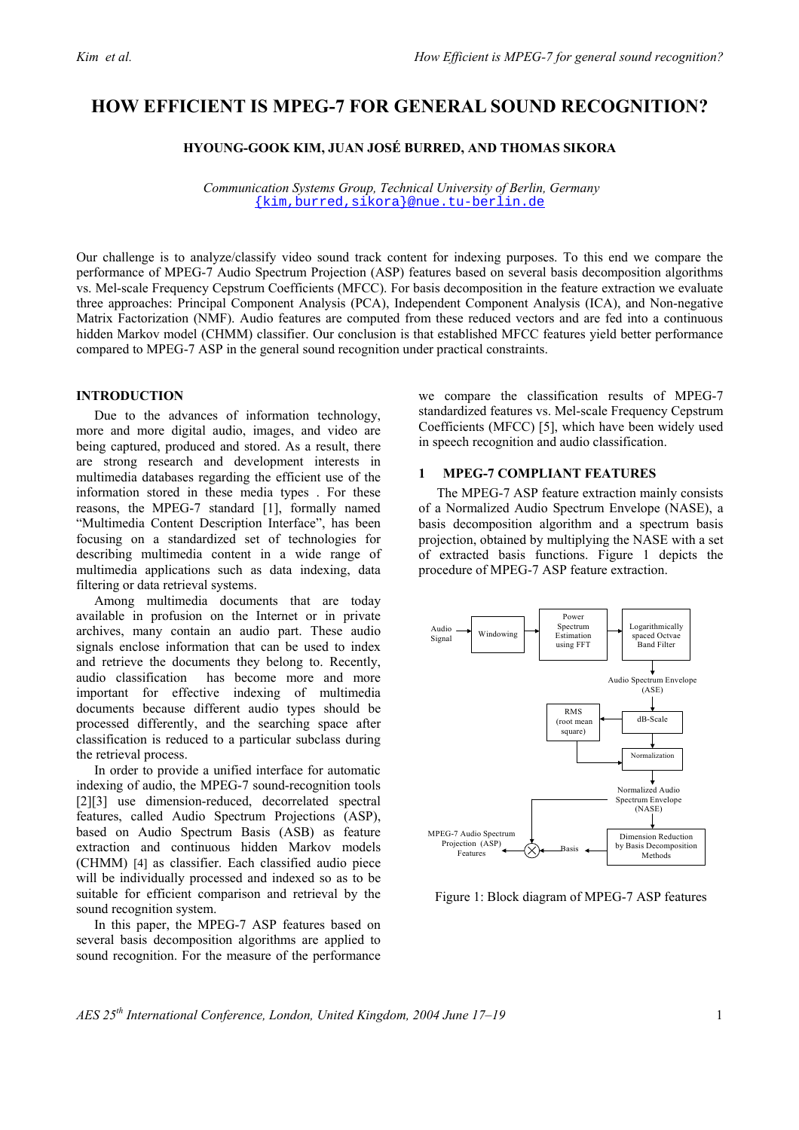# **HOW EFFICIENT IS MPEG-7 FOR GENERAL SOUND RECOGNITION?**

# **HYOUNG-GOOK KIM, JUAN JOSÉ BURRED, AND THOMAS SIKORA**

 *Communication Systems Group, Technical University of Berlin, Germany*  {kim,burred,sikora}@nue.tu-berlin.de

Our challenge is to analyze/classify video sound track content for indexing purposes. To this end we compare the performance of MPEG-7 Audio Spectrum Projection (ASP) features based on several basis decomposition algorithms vs. Mel-scale Frequency Cepstrum Coefficients (MFCC). For basis decomposition in the feature extraction we evaluate three approaches: Principal Component Analysis (PCA), Independent Component Analysis (ICA), and Non-negative Matrix Factorization (NMF). Audio features are computed from these reduced vectors and are fed into a continuous hidden Markov model (CHMM) classifier. Our conclusion is that established MFCC features yield better performance compared to MPEG-7 ASP in the general sound recognition under practical constraints.

# **INTRODUCTION**

Due to the advances of information technology, more and more digital audio, images, and video are being captured, produced and stored. As a result, there are strong research and development interests in multimedia databases regarding the efficient use of the information stored in these media types . For these reasons, the MPEG-7 standard [1], formally named "Multimedia Content Description Interface", has been focusing on a standardized set of technologies for describing multimedia content in a wide range of multimedia applications such as data indexing, data filtering or data retrieval systems.

Among multimedia documents that are today available in profusion on the Internet or in private archives, many contain an audio part. These audio signals enclose information that can be used to index and retrieve the documents they belong to. Recently, audio classification has become more and more important for effective indexing of multimedia documents because different audio types should be processed differently, and the searching space after classification is reduced to a particular subclass during the retrieval process.

In order to provide a unified interface for automatic indexing of audio, the MPEG-7 sound-recognition tools [2][3] use dimension-reduced, decorrelated spectral features, called Audio Spectrum Projections (ASP), based on Audio Spectrum Basis (ASB) as feature extraction and continuous hidden Markov models (CHMM) [4] as classifier. Each classified audio piece will be individually processed and indexed so as to be suitable for efficient comparison and retrieval by the sound recognition system.

In this paper, the MPEG-7 ASP features based on several basis decomposition algorithms are applied to sound recognition. For the measure of the performance we compare the classification results of MPEG-7 standardized features vs. Mel-scale Frequency Cepstrum Coefficients (MFCC) [5], which have been widely used in speech recognition and audio classification.

## **1 MPEG-7 COMPLIANT FEATURES**

The MPEG-7 ASP feature extraction mainly consists of a Normalized Audio Spectrum Envelope (NASE), a basis decomposition algorithm and a spectrum basis projection, obtained by multiplying the NASE with a set of extracted basis functions. Figure 1 depicts the procedure of MPEG-7 ASP feature extraction.



Figure 1: Block diagram of MPEG-7 ASP features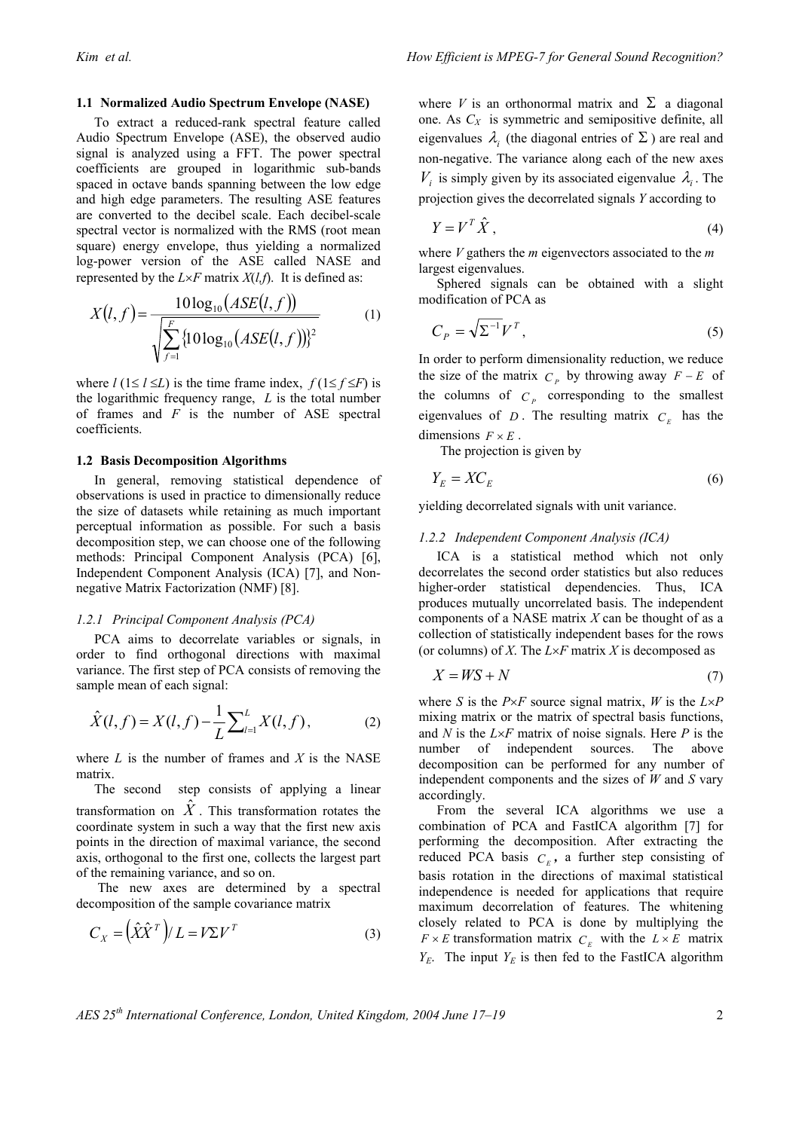#### **1.1 Normalized Audio Spectrum Envelope (NASE)**

To extract a reduced-rank spectral feature called Audio Spectrum Envelope (ASE), the observed audio signal is analyzed using a FFT. The power spectral coefficients are grouped in logarithmic sub-bands spaced in octave bands spanning between the low edge and high edge parameters. The resulting ASE features are converted to the decibel scale. Each decibel-scale spectral vector is normalized with the RMS (root mean square) energy envelope, thus yielding a normalized log-power version of the ASE called NASE and represented by the  $L \times F$  matrix  $X(l, f)$ . It is defined as:

$$
X(l, f) = \frac{10 \log_{10} (ASE(l, f))}{\sqrt{\sum_{f=1}^{F} \{10 \log_{10} (ASE(l, f))\}^2}}
$$
(1)

where  $l$  (1≤  $l \le L$ ) is the time frame index,  $f(1 \le f \le F)$  is the logarithmic frequency range, *L* is the total number of frames and *F* is the number of ASE spectral coefficients.

### **1.2 Basis Decomposition Algorithms**

In general, removing statistical dependence of observations is used in practice to dimensionally reduce the size of datasets while retaining as much important perceptual information as possible. For such a basis decomposition step, we can choose one of the following methods: Principal Component Analysis (PCA) [6], Independent Component Analysis (ICA) [7], and Nonnegative Matrix Factorization (NMF) [8].

#### *1.2.1 Principal Component Analysis (PCA)*

PCA aims to decorrelate variables or signals, in order to find orthogonal directions with maximal variance. The first step of PCA consists of removing the sample mean of each signal:

$$
\hat{X}(l,f) = X(l,f) - \frac{1}{L} \sum_{l=1}^{L} X(l,f),
$$
\n(2)

where *L* is the number of frames and *X* is the NASE matrix.

The second step consists of applying a linear transformation on  $\hat{X}$ . This transformation rotates the coordinate system in such a way that the first new axis points in the direction of maximal variance, the second axis, orthogonal to the first one, collects the largest part of the remaining variance, and so on.

 The new axes are determined by a spectral decomposition of the sample covariance matrix

$$
C_X = \left(\hat{X}\hat{X}^T\right) / L = V\Sigma V^T \tag{3}
$$

where *V* is an orthonormal matrix and  $\Sigma$  a diagonal one. As *CX* is symmetric and semipositive definite, all eigenvalues  $\lambda_i$  (the diagonal entries of  $\Sigma$ ) are real and non-negative. The variance along each of the new axes  $V_i$  is simply given by its associated eigenvalue  $\lambda_i$ . The projection gives the decorrelated signals *Y* according to

$$
Y = V^T \hat{X}, \tag{4}
$$

where *V* gathers the *m* eigenvectors associated to the *m*  largest eigenvalues.

Sphered signals can be obtained with a slight modification of PCA as

$$
C_P = \sqrt{\Sigma^{-1}} V^T,\tag{5}
$$

In order to perform dimensionality reduction, we reduce the size of the matrix  $C_p$  by throwing away  $F - E$  of the columns of  $C_p$  corresponding to the smallest eigenvalues of  $D$ . The resulting matrix  $C<sub>E</sub>$  has the dimensions  $F \times E$ .

The projection is given by

$$
Y_E = X C_E \tag{6}
$$

yielding decorrelated signals with unit variance.

#### *1.2.2 Independent Component Analysis (ICA)*

ICA is a statistical method which not only decorrelates the second order statistics but also reduces higher-order statistical dependencies. Thus, ICA produces mutually uncorrelated basis. The independent components of a NASE matrix *X* can be thought of as a collection of statistically independent bases for the rows (or columns) of *X*. The *L*×*F* matrix *X* is decomposed as

$$
X = WS + N \tag{7}
$$

where *S* is the  $P \times F$  source signal matrix, *W* is the  $L \times P$ mixing matrix or the matrix of spectral basis functions, and *N* is the *L*×*F* matrix of noise signals. Here *P* is the number of independent sources. The above decomposition can be performed for any number of independent components and the sizes of *W* and *S* vary accordingly.

From the several ICA algorithms we use a combination of PCA and FastICA algorithm [7] for performing the decomposition. After extracting the reduced PCA basis  $C<sub>F</sub>$ , a further step consisting of basis rotation in the directions of maximal statistical independence is needed for applications that require maximum decorrelation of features. The whitening closely related to PCA is done by multiplying the  $F \times E$  transformation matrix  $C_E$  with the  $L \times E$  matrix  $Y_E$ . The input  $Y_E$  is then fed to the FastICA algorithm

*AES 25th International Conference, London, United Kingdom, 2004 June 17–19* 2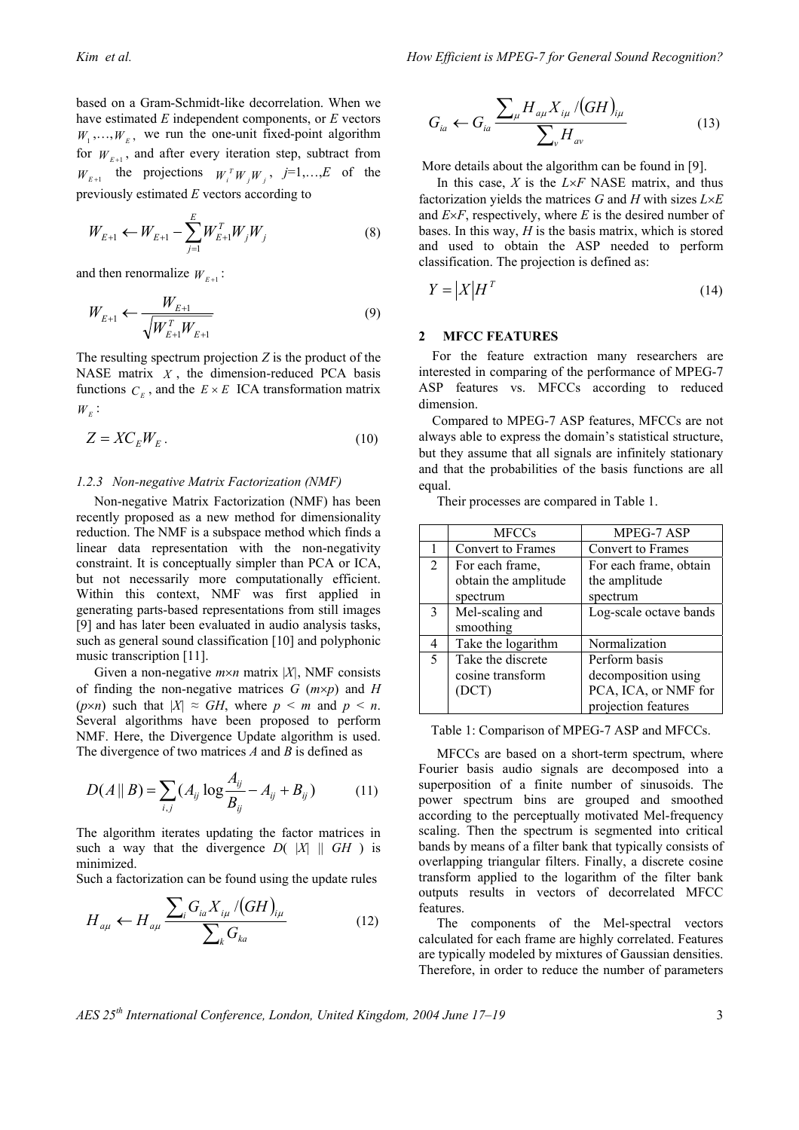based on a Gram-Schmidt-like decorrelation. When we have estimated *E* independent components, or *E* vectors  $W_1, \ldots, W_{E}$ , we run the one-unit fixed-point algorithm for  $W_{F+1}$ , and after every iteration step, subtract from  $W_{E+1}$  the projections  $W_i^T W_j W_j$ ,  $j=1,...,E$  of the previously estimated *E* vectors according to

$$
W_{E+1} \leftarrow W_{E+1} - \sum_{j=1}^{E} W_{E+1}^{T} W_j W_j \tag{8}
$$

and then renormalize  $W_{F+1}$ :

$$
W_{E+1} \leftarrow \frac{W_{E+1}}{\sqrt{W_{E+1}^T W_{E+1}}} \tag{9}
$$

The resulting spectrum projection *Z* is the product of the NASE matrix  $X$ , the dimension-reduced PCA basis functions  $C_F$ , and the  $E \times E$  ICA transformation matrix  $W_{E}$ :

$$
Z = X C_E W_E. \tag{10}
$$

#### *1.2.3 Non-negative Matrix Factorization (NMF)*

Non-negative Matrix Factorization (NMF) has been recently proposed as a new method for dimensionality reduction. The NMF is a subspace method which finds a linear data representation with the non-negativity constraint. It is conceptually simpler than PCA or ICA, but not necessarily more computationally efficient. Within this context, NMF was first applied in generating parts-based representations from still images [9] and has later been evaluated in audio analysis tasks, such as general sound classification [10] and polyphonic music transcription [11].

Given a non-negative *m*×*n* matrix |*X|*, NMF consists of finding the non-negative matrices *G* (*m*×*p*) and *H* ( $p \times n$ ) such that  $|X| \approx GH$ , where  $p \le m$  and  $p \le n$ . Several algorithms have been proposed to perform NMF. Here, the Divergence Update algorithm is used. The divergence of two matrices *A* and *B* is defined as

$$
D(A \parallel B) = \sum_{i,j} (A_{ij} \log \frac{A_{ij}}{B_{ij}} - A_{ij} + B_{ij})
$$
 (11)

The algorithm iterates updating the factor matrices in such a way that the divergence  $D(|X| || G H)$  is minimized.

Such a factorization can be found using the update rules

$$
H_{a\mu} \leftarrow H_{a\mu} \frac{\sum_{i} G_{ia} X_{i\mu} / (GH)_{i\mu}}{\sum_{k} G_{ka}}
$$
(12)

$$
G_{ia} \leftarrow G_{ia} \frac{\sum_{\mu} H_{a\mu} X_{i\mu} / (GH)_{i\mu}}{\sum_{\nu} H_{av}}
$$
(13)

More details about the algorithm can be found in [9].

In this case, *X* is the *L*×*F* NASE matrix, and thus factorization yields the matrices *G* and *H* with sizes *L*×*E* and  $E \times F$ , respectively, where *E* is the desired number of bases. In this way, *H* is the basis matrix, which is stored and used to obtain the ASP needed to perform classification. The projection is defined as:

$$
Y = \left| X \right| H^T \tag{14}
$$

# **2 MFCC FEATURES**

For the feature extraction many researchers are interested in comparing of the performance of MPEG-7 ASP features vs. MFCCs according to reduced dimension.

Compared to MPEG-7 ASP features, MFCCs are not always able to express the domain's statistical structure, but they assume that all signals are infinitely stationary and that the probabilities of the basis functions are all equal.

Their processes are compared in Table 1.

|              | <b>MFCCs</b>         | MPEG-7 ASP             |
|--------------|----------------------|------------------------|
|              | Convert to Frames    | Convert to Frames      |
| 2            | For each frame,      | For each frame, obtain |
|              | obtain the amplitude | the amplitude          |
|              | spectrum             | spectrum               |
| $\mathbf{3}$ | Mel-scaling and      | Log-scale octave bands |
|              | smoothing            |                        |
| 4            | Take the logarithm   | Normalization          |
| 5            | Take the discrete    | Perform basis          |
|              | cosine transform     | decomposition using    |
|              | (DCT)                | PCA, ICA, or NMF for   |
|              |                      | projection features    |

Table 1: Comparison of MPEG-7 ASP and MFCCs.

MFCCs are based on a short-term spectrum, where Fourier basis audio signals are decomposed into a superposition of a finite number of sinusoids. The power spectrum bins are grouped and smoothed according to the perceptually motivated Mel-frequency scaling. Then the spectrum is segmented into critical bands by means of a filter bank that typically consists of overlapping triangular filters. Finally, a discrete cosine transform applied to the logarithm of the filter bank outputs results in vectors of decorrelated MFCC features.

The components of the Mel-spectral vectors calculated for each frame are highly correlated. Features are typically modeled by mixtures of Gaussian densities. Therefore, in order to reduce the number of parameters

*AES 25th International Conference, London, United Kingdom, 2004 June 17–19* 3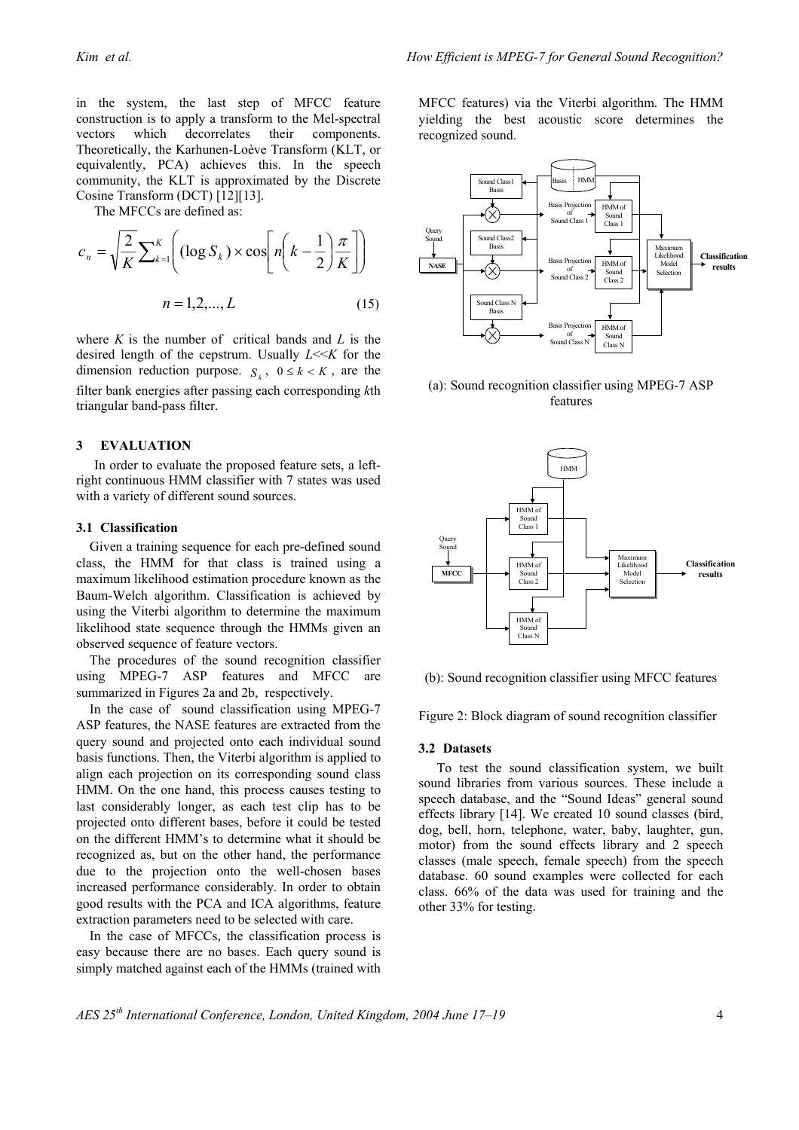in the system, the last step of MFCC feature construction is to apply a transform to the Mel-spectral vectors which decorrelates their components. Theoretically, the Karhunen-Loève Transform (KLT, or equivalently, PCA) achieves this. In the speech community, the KLT is approximated by the Discrete Cosine Transform (DCT) [12][13].

The MFCCs are defined as:

$$
c_n = \sqrt{\frac{2}{K}} \sum_{k=1}^{K} \left( (\log S_k) \times \cos \left[ n \left( k - \frac{1}{2} \right) \frac{\pi}{K} \right] \right)
$$

$$
n = 1, 2, ..., L \qquad (15)
$$

where *K* is the number of critical bands and *L* is the desired length of the cepstrum. Usually *L*<<*K* for the dimension reduction purpose.  $S_k$ ,  $0 \le k \le K$ , are the filter bank energies after passing each corresponding *k*th triangular band-pass filter.

#### **3 EVALUATION**

In order to evaluate the proposed feature sets, a leftright continuous HMM classifier with 7 states was used with a variety of different sound sources.

### **3.1 Classification**

Given a training sequence for each pre-defined sound class, the HMM for that class is trained using a maximum likelihood estimation procedure known as the Baum-Welch algorithm. Classification is achieved by using the Viterbi algorithm to determine the maximum likelihood state sequence through the HMMs given an observed sequence of feature vectors.

The procedures of the sound recognition classifier using MPEG-7 ASP features and MFCC are summarized in Figures 2a and 2b, respectively.

In the case of sound classification using MPEG-7 ASP features, the NASE features are extracted from the query sound and projected onto each individual sound basis functions. Then, the Viterbi algorithm is applied to align each projection on its corresponding sound class HMM. On the one hand, this process causes testing to last considerably longer, as each test clip has to be projected onto different bases, before it could be tested on the different HMM's to determine what it should be recognized as, but on the other hand, the performance due to the projection onto the well-chosen bases increased performance considerably. In order to obtain good results with the PCA and ICA algorithms, feature extraction parameters need to be selected with care.

In the case of MFCCs, the classification process is easy because there are no bases. Each query sound is simply matched against each of the HMMs (trained with MFCC features) via the Viterbi algorithm. The HMM yielding the best acoustic score determines the recognized sound.



(a): Sound recognition classifier using MPEG-7 ASP features



(b): Sound recognition classifier using MFCC features

Figure 2: Block diagram of sound recognition classifier

### **3.2 Datasets**

To test the sound classification system, we built sound libraries from various sources. These include a speech database, and the "Sound Ideas" general sound effects library [14]. We created 10 sound classes (bird, dog, bell, horn, telephone, water, baby, laughter, gun, motor) from the sound effects library and 2 speech classes (male speech, female speech) from the speech database. 60 sound examples were collected for each class. 66% of the data was used for training and the other 33% for testing.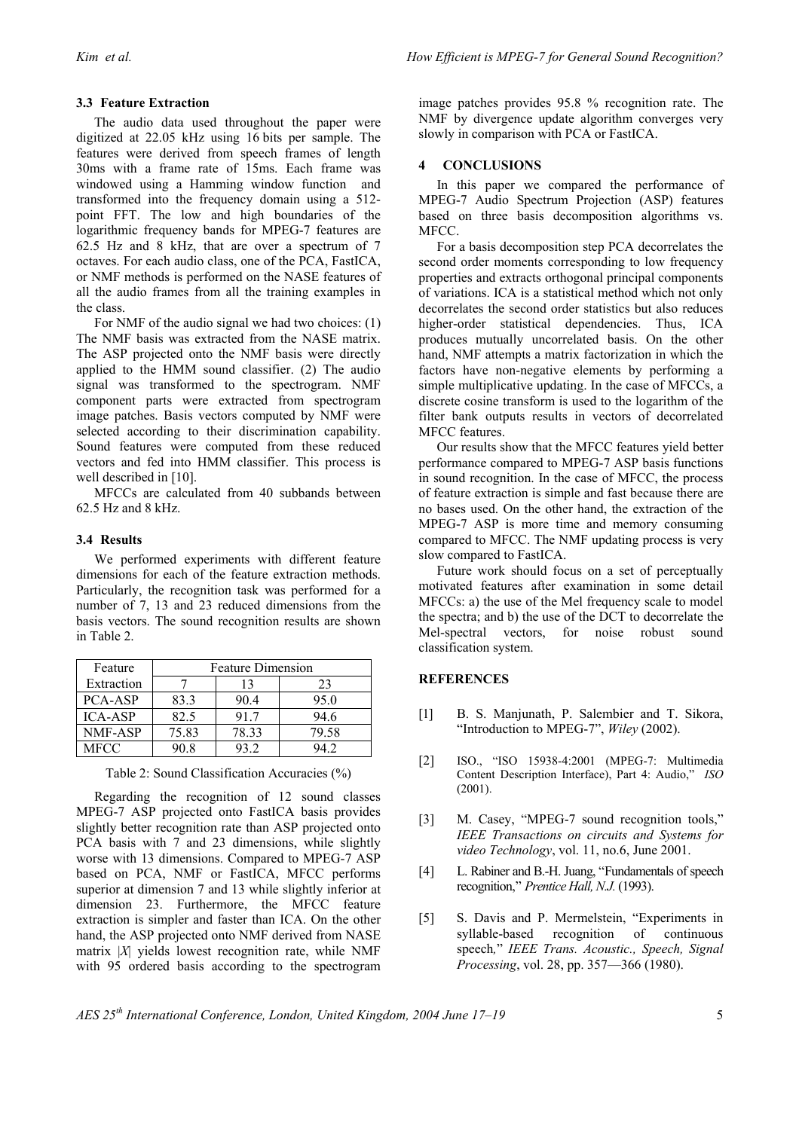The audio data used throughout the paper were digitized at 22.05 kHz using 16 bits per sample. The features were derived from speech frames of length 30ms with a frame rate of 15ms. Each frame was windowed using a Hamming window function and transformed into the frequency domain using a 512 point FFT. The low and high boundaries of the logarithmic frequency bands for MPEG-7 features are 62.5 Hz and 8 kHz, that are over a spectrum of 7 octaves. For each audio class, one of the PCA, FastICA, or NMF methods is performed on the NASE features of all the audio frames from all the training examples in the class.

For NMF of the audio signal we had two choices: (1) The NMF basis was extracted from the NASE matrix. The ASP projected onto the NMF basis were directly applied to the HMM sound classifier. (2) The audio signal was transformed to the spectrogram. NMF component parts were extracted from spectrogram image patches. Basis vectors computed by NMF were selected according to their discrimination capability. Sound features were computed from these reduced vectors and fed into HMM classifier. This process is well described in [10].

MFCCs are calculated from 40 subbands between 62.5 Hz and 8 kHz.

# **3.4 Results**

We performed experiments with different feature dimensions for each of the feature extraction methods. Particularly, the recognition task was performed for a number of 7, 13 and 23 reduced dimensions from the basis vectors. The sound recognition results are shown in Table 2.

| Feature        | <b>Feature Dimension</b> |       |       |  |
|----------------|--------------------------|-------|-------|--|
| Extraction     |                          | 13    | 23    |  |
| PCA-ASP        | 83.3                     | 90.4  | 95.0  |  |
| <b>ICA-ASP</b> | 82.5                     | 917   | 94.6  |  |
| NMF-ASP        | 75.83                    | 78.33 | 79.58 |  |
| MFCC           |                          |       |       |  |

Table 2: Sound Classification Accuracies (%)

Regarding the recognition of 12 sound classes MPEG-7 ASP projected onto FastICA basis provides slightly better recognition rate than ASP projected onto PCA basis with 7 and 23 dimensions, while slightly worse with 13 dimensions. Compared to MPEG-7 ASP based on PCA, NMF or FastICA, MFCC performs superior at dimension 7 and 13 while slightly inferior at dimension 23. Furthermore, the MFCC feature extraction is simpler and faster than ICA. On the other hand, the ASP projected onto NMF derived from NASE matrix |*X*| yields lowest recognition rate, while NMF with 95 ordered basis according to the spectrogram

image patches provides 95.8 % recognition rate. The NMF by divergence update algorithm converges very slowly in comparison with PCA or FastICA.

# **4 CONCLUSIONS**

In this paper we compared the performance of MPEG-7 Audio Spectrum Projection (ASP) features based on three basis decomposition algorithms vs. MFCC.

For a basis decomposition step PCA decorrelates the second order moments corresponding to low frequency properties and extracts orthogonal principal components of variations. ICA is a statistical method which not only decorrelates the second order statistics but also reduces higher-order statistical dependencies. Thus, ICA produces mutually uncorrelated basis. On the other hand, NMF attempts a matrix factorization in which the factors have non-negative elements by performing a simple multiplicative updating. In the case of MFCCs, a discrete cosine transform is used to the logarithm of the filter bank outputs results in vectors of decorrelated MFCC features.

Our results show that the MFCC features yield better performance compared to MPEG-7 ASP basis functions in sound recognition. In the case of MFCC, the process of feature extraction is simple and fast because there are no bases used. On the other hand, the extraction of the MPEG-7 ASP is more time and memory consuming compared to MFCC. The NMF updating process is very slow compared to FastICA.

Future work should focus on a set of perceptually motivated features after examination in some detail MFCCs: a) the use of the Mel frequency scale to model the spectra; and b) the use of the DCT to decorrelate the Mel-spectral vectors, for noise robust sound classification system.

# **REFERENCES**

- [1] B. S. Manjunath, P. Salembier and T. Sikora, "Introduction to MPEG-7", *Wiley* (2002).
- [2] ISO., "ISO 15938-4:2001 (MPEG-7: Multimedia Content Description Interface), Part 4: Audio," *ISO* (2001).
- [3] M. Casey, "MPEG-7 sound recognition tools," *IEEE Transactions on circuits and Systems for video Technology*, vol. 11, no.6, June 2001.
- [4] L. Rabiner and B.-H. Juang, "Fundamentals of speech recognition," *Prentice Hall, N.J.* (1993).
- [5] S. Davis and P. Mermelstein, "Experiments in syllable-based recognition of continuous speech*,*" *IEEE Trans. Acoustic., Speech, Signal Processing*, vol. 28, pp. 357—366 (1980).

*AES 25th International Conference, London, United Kingdom, 2004 June 17–19* 5